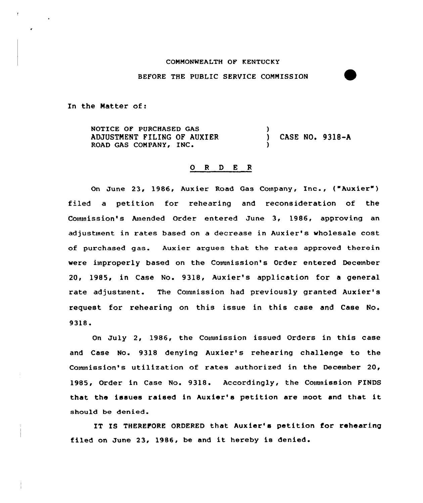## COMMONWEALTH OF KENTUCKY

## BEFORE THE PUBLIC SERVICE COMMISSION

In the Matter of:

NOTICE OF PURCHASED GAS ADJUSTNENT FILING OF AUXIER ROAD GAS COMPANY, INC. ) CASE NO. 9318-A )

## 0 <sup>R</sup> <sup>D</sup> <sup>E</sup> <sup>R</sup>

On June 23, 1986, Aux ier Road Gas Company, Inc., ( "Auxier" ) filed a petition for rehearing and reconsideration of the Commission's Amended Order entered June 3, 1986, approving an adjustment in rates based on a decrease in Auxier's wholesale cost of purchased gas. Auxier argues that the rates approved therein were improperly based on the Couunission's Order entered December 20, 1985, in Case No. 9318, Auxier's application for a general rate adjustment. The Connnission had previously granted Auxier's request for rehearing on this issue in this case and Case No. 9318.

On July 2, 1986, the Couunission issued Orders in this case and Case No. 9318 denying Auxier's rehearing challenge to the Connnission's utilization of rates authorized in the December 20, 1985, Order in Case No. 9318. Accordingly, the Commission FINDS that the issues raised in huxier's petition are moot and that it should be denied.

IT IS THEREFORE ORDERED that Auxier's petition for rehearing filed on June 23, 1986, be and it hereby is denied.